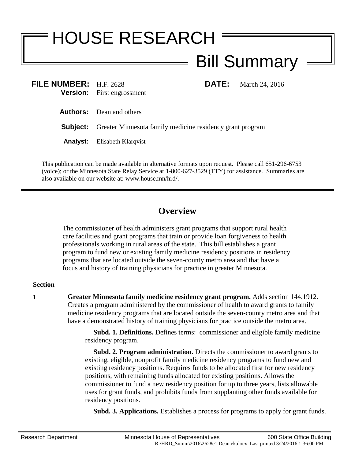## HOUSE RESEARCH Bill Summary

| FILE NUMBER: H.F. 2628 | <b>Version:</b> First engrossment                                         | <b>DATE:</b> | March 24, 2016 |
|------------------------|---------------------------------------------------------------------------|--------------|----------------|
|                        | <b>Authors:</b> Dean and others                                           |              |                |
|                        | <b>Subject:</b> Greater Minnesota family medicine residency grant program |              |                |
|                        | <b>Analyst:</b> Elisabeth Klargvist                                       |              |                |
|                        |                                                                           |              |                |

This publication can be made available in alternative formats upon request. Please call 651-296-6753 (voice); or the Minnesota State Relay Service at 1-800-627-3529 (TTY) for assistance. Summaries are also available on our website at: www.house.mn/hrd/.

## **Overview**

The commissioner of health administers grant programs that support rural health care facilities and grant programs that train or provide loan forgiveness to health professionals working in rural areas of the state. This bill establishes a grant program to fund new or existing family medicine residency positions in residency programs that are located outside the seven-county metro area and that have a focus and history of training physicians for practice in greater Minnesota.

## **Section**

**1 Greater Minnesota family medicine residency grant program.** Adds section 144.1912. Creates a program administered by the commissioner of health to award grants to family medicine residency programs that are located outside the seven-county metro area and that have a demonstrated history of training physicians for practice outside the metro area.

> **Subd. 1. Definitions.** Defines terms: commissioner and eligible family medicine residency program.

> **Subd. 2. Program administration.** Directs the commissioner to award grants to existing, eligible, nonprofit family medicine residency programs to fund new and existing residency positions. Requires funds to be allocated first for new residency positions, with remaining funds allocated for existing positions. Allows the commissioner to fund a new residency position for up to three years, lists allowable uses for grant funds, and prohibits funds from supplanting other funds available for residency positions.

**Subd. 3. Applications.** Establishes a process for programs to apply for grant funds.